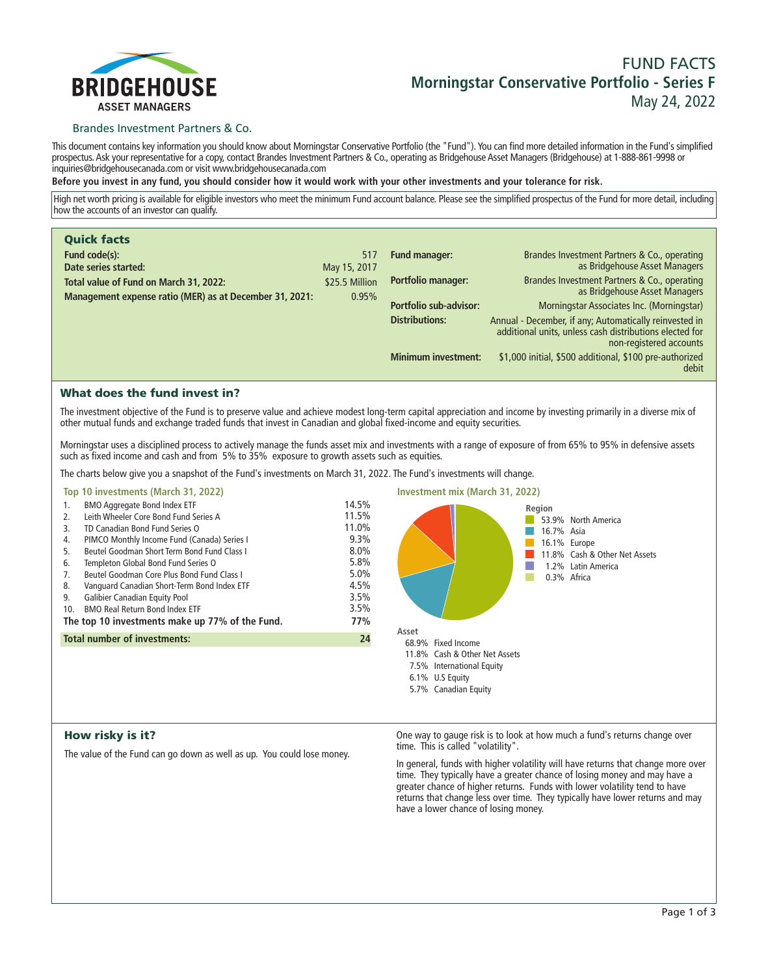

# **FUND FACTS Morningstar Conservative Portfolio - Series F May 24, 2022**

## Brandes Investment Partners & Co.

**This document contains key information you should know about Morningstar Conservative Portfolio (the "Fund"). You can find more detailed information in the Fund's simplified prospectus. Ask your representative for a copy, contact Brandes Investment Partners & Co., operating as Bridgehouse Asset Managers (Bridgehouse) at 1-888-861-9998 or inquiries@bridgehousecanada.com or visit www.bridgehousecanada.com**

**Before you invest in any fund, you should consider how it would work with your other investments and your tolerance for risk.**

**High net worth pricing is available for eligible investors who meet the minimum Fund account balance. Please see the simplified prospectus of the Fund for more detail, including how the accounts of an investor can qualify.**

| <b>Quick facts</b>                                      |                |                            |                                                                                                                                              |
|---------------------------------------------------------|----------------|----------------------------|----------------------------------------------------------------------------------------------------------------------------------------------|
| Fund code(s):                                           | 517            | <b>Fund manager:</b>       | Brandes Investment Partners & Co., operating                                                                                                 |
| Date series started:                                    | May 15, 2017   |                            | as Bridgehouse Asset Managers                                                                                                                |
| Total value of Fund on March 31, 2022:                  | \$25.5 Million | Portfolio manager:         | Brandes Investment Partners & Co., operating<br>as Bridgehouse Asset Managers                                                                |
| Management expense ratio (MER) as at December 31, 2021: | 0.95%          | Portfolio sub-advisor:     | Morningstar Associates Inc. (Morningstar)                                                                                                    |
|                                                         |                |                            |                                                                                                                                              |
|                                                         |                | <b>Distributions:</b>      | Annual - December, if any; Automatically reinvested in<br>additional units, unless cash distributions elected for<br>non-registered accounts |
|                                                         |                | <b>Minimum investment:</b> | \$1,000 initial, \$500 additional, \$100 pre-authorized<br>debit                                                                             |

# What does the fund invest in?

**The investment objective of the Fund is to preserve value and achieve modest long-term capital appreciation and income by investing primarily in a diverse mix of other mutual funds and exchange traded funds that invest in Canadian and global fixed-income and equity securities.** 

**Morningstar uses a disciplined process to actively manage the funds asset mix and investments with a range of exposure of from 65% to 95% in defensive assets such as fixed income and cash and from 5% to 35% exposure to growth assets such as equities.**

**The charts below give you a snapshot of the Fund's investments on March 31, 2022. The Fund's investments will change.**

## **Top 10 investments (March 31, 2022)**

| 1.                                                     | <b>BMO Aggregate Bond Index ETF</b>         | 14.5% |  |
|--------------------------------------------------------|---------------------------------------------|-------|--|
| 2.                                                     | Leith Wheeler Core Bond Fund Series A       | 11.5% |  |
| 3.                                                     | TD Canadian Bond Fund Series O              | 11.0% |  |
| 4.                                                     | PIMCO Monthly Income Fund (Canada) Series I | 9.3%  |  |
| 5.                                                     | Beutel Goodman Short Term Bond Fund Class I | 8.0%  |  |
| 6.                                                     | Templeton Global Bond Fund Series O         | 5.8%  |  |
| 7.                                                     | Beutel Goodman Core Plus Bond Fund Class I  | 5.0%  |  |
| 8.                                                     | Vanguard Canadian Short-Term Bond Index ETF | 4.5%  |  |
| 9.                                                     | <b>Galibier Canadian Equity Pool</b>        | 3.5%  |  |
| 10.                                                    | <b>BMO Real Return Bond Index ETF</b>       | 3.5%  |  |
| The top 10 investments make up 77% of the Fund.<br>77% |                                             |       |  |
| <b>Total number of investments:</b><br>24              |                                             |       |  |
|                                                        |                                             |       |  |



## How risky is it?

**The value of the Fund can go down as well as up. You could lose money.**

**One way to gauge risk is to look at how much a fund's returns change over time. This is called "volatility".**

**In general, funds with higher volatility will have returns that change more over time. They typically have a greater chance of losing money and may have a greater chance of higher returns. Funds with lower volatility tend to have returns that change less over time. They typically have lower returns and may have a lower chance of losing money.**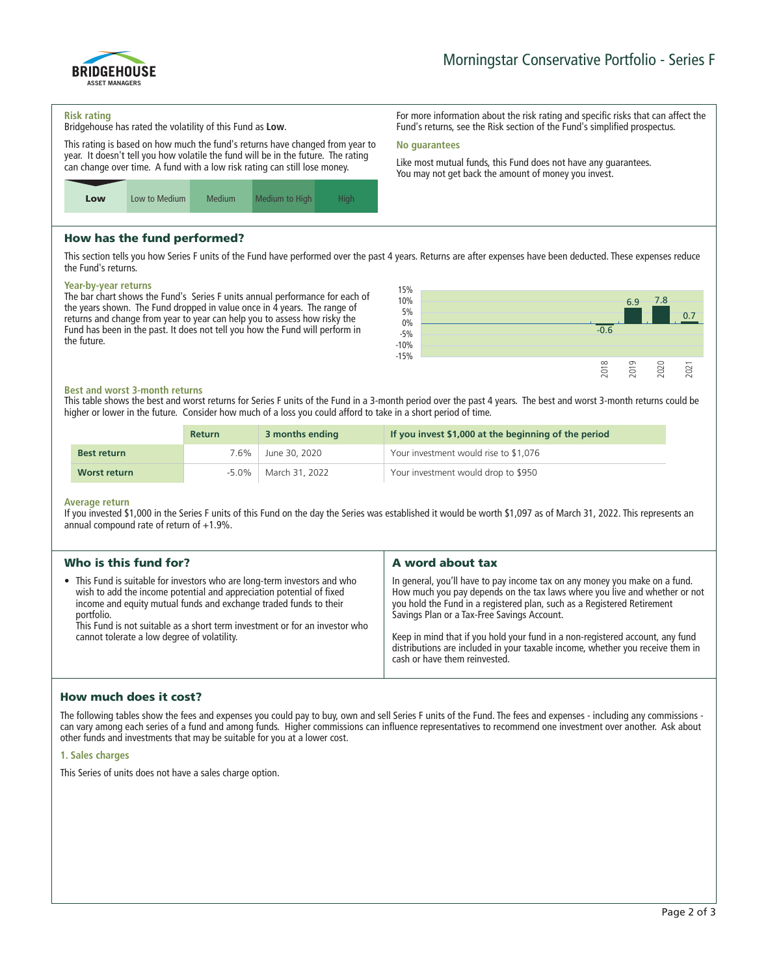

**For more information about the risk rating and specific risks that can affect the Fund's returns, see the Risk section of the Fund's simplified prospectus.**

**Like most mutual funds, this Fund does not have any guarantees. You may not get back the amount of money you invest.**

#### **Risk rating**

**Bridgehouse has rated the volatility of this Fund as Low.**

**This rating is based on how much the fund's returns have changed from year to year. It doesn't tell you how volatile the fund will be in the future. The rating can change over time. A fund with a low risk rating can still lose money.**



## How has the fund performed?

**This section tells you how Series F units of the Fund have performed over the past 4 years. Returns are after expenses have been deducted. These expenses reduce the Fund's returns.**

**No guarantees**

## **Year-by-year returns**

**The bar chart shows the Fund's Series F units annual performance for each of the years shown. The Fund dropped in value once in 4 years. The range of returns and change from year to year can help you to assess how risky the Fund has been in the past. It does not tell you how the Fund will perform in the future.**



#### **Best and worst 3-month returns**

**This table shows the best and worst returns for Series F units of the Fund in a 3-month period over the past 4 years. The best and worst 3-month returns could be higher or lower in the future. Consider how much of a loss you could afford to take in a short period of time.**

|                    | <b>Return</b> | 3 months ending           | If you invest \$1,000 at the beginning of the period |
|--------------------|---------------|---------------------------|------------------------------------------------------|
| <b>Best return</b> | '.6%          | June 30, 2020             | Your investment would rise to \$1,076                |
| Worst return       |               | $-5.0\%$   March 31, 2022 | Your investment would drop to \$950                  |

#### **Average return**

**If you invested \$1,000 in the Series F units of this Fund on the day the Series was established it would be worth \$1,097 as of March 31, 2022. This represents an annual compound rate of return of +1.9%.**

| Who is this fund for?                                                                                                                                                                                                                                                                                                                                              | A word about tax                                                                                                                                                                                                                                                                   |
|--------------------------------------------------------------------------------------------------------------------------------------------------------------------------------------------------------------------------------------------------------------------------------------------------------------------------------------------------------------------|------------------------------------------------------------------------------------------------------------------------------------------------------------------------------------------------------------------------------------------------------------------------------------|
| • This Fund is suitable for investors who are long-term investors and who<br>wish to add the income potential and appreciation potential of fixed<br>income and equity mutual funds and exchange traded funds to their<br>portfolio.<br>This Fund is not suitable as a short term investment or for an investor who<br>cannot tolerate a low degree of volatility. | In general, you'll have to pay income tax on any money you make on a fund.<br>How much you pay depends on the tax laws where you live and whether or not<br>you hold the Fund in a registered plan, such as a Registered Retirement<br>Savings Plan or a Tax-Free Savings Account. |
|                                                                                                                                                                                                                                                                                                                                                                    | Keep in mind that if you hold your fund in a non-registered account, any fund<br>distributions are included in your taxable income, whether you receive them in<br>cash or have them reinvested.                                                                                   |

# How much does it cost?

**The following tables show the fees and expenses you could pay to buy, own and sell Series F units of the Fund. The fees and expenses - including any commissions can vary among each series of a fund and among funds. Higher commissions can influence representatives to recommend one investment over another. Ask about other funds and investments that may be suitable for you at a lower cost.**

## **1. Sales charges**

**This Series of units does not have a sales charge option.**